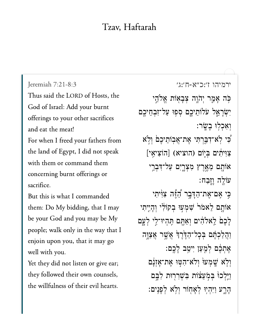## Tzav, Haftarah

Thus said the LORD of Hosts, the God of Israel: Add your burnt offerings to your other sacrifices and eat the meat! For when I freed your fathers from the land of Egypt, I did not speak with them or command them

concerning burnt offerings or sacrifice.

But this is what I commanded them: Do My bidding, that I may be your God and you may be My people; walk only in the way that I enjoin upon you, that it may go well with you.

Yet they did not listen or give ear; they followed their own counsels, the willfulness of their evil hearts.

[ירמיהו ז׳:כ״א-ח׳:ג׳](https://www.sefaria.org/Jeremiah%207:21-8:3) [7:21-8:3 Jeremiah](https://www.sefaria.org/Jeremiah%207:21-8:3) ּכְּה אָמֵר יִהֹוֶה צִבָאָוֹת אֱלֹהֱי יְשְׂרָאֱל עֹלוֹתֵיכֵֵם סִפְוּ עַל־זְבְחֵיכֵם וְאָכְלִוּ בָשֱׂר: ֿכִּי לְא־דְבַּרְתִּי אֶת־אֲבוֹתֵיכֵם וְלָא ַצְוְיֹתִים בְּיֶוֹם (הוציא) [הוֹצִיאֵי] אוֹתָם מֵאֶרֶץ מִצְרֱיִם עַל־דִּבְרֵי  $:$ עּוֹלֶה וָזָבַח ּכֵּי אֶם־אֶת־הַדָּבֶר הַֿיֶּٗה צִוּֽיתִי אוֹתֶם לֵאמֹר<sup>י</sup> שִׁמְעִוּ בְקוֹלִי וְהָיֵיִתִי ַלְכֶם לֵאלֹהִים וְאַתֱם תְּהִיוּ־לֵי לְעֲָם ַוְהָלַכְתֶּׁם בְּכַל־הַדֶּרֶךְ אֲשֶׁר אֲצָוֶּה ָאֶתְכֶּ֫ם לְמֻעַּן יִיטֵב לַכֱם: וִלְא שָׁמְע<sup>ֶן</sup> וְלֹא־הִטְוּ אֵת־אָזְנָם וַיֵּלְכוּ בִּמְעֵצׁוֹת בִּשְׁרְרְוּת לְבֵם ָהָרֶע וַיִּהְיִוּ לְאָחְוֹר וְלְאׁ לְפָּנֵים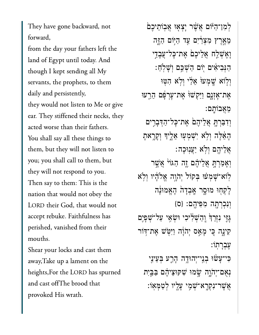They have gone backward, not forward,

from the day your fathers left the land of Egypt until today. And though I kept sending all My servants, the prophets, to them daily and persistently, they would not listen to Me or give ear. They stiffened their necks, they acted worse than their fathers. You shall say all these things to them, but they will not listen to you; you shall call to them, but they will not respond to you. Then say to them: This is the nation that would not obey the LORD their God, that would not accept rebuke. Faithfulness has perished, vanished from their mouths.

Shear your locks and cast them away,Take up a lament on the heights,For the LORD has spurned and cast offThe brood that provoked His wrath.

ַלְמְן־הַיּּׂוֹם אֲשֶׁר יָצְאָוּ אֲבִוֹתֵיכֵם מֵאֵרֵץ מִצְרַׂיִם עַד הַיִּוֹם הַזֶּה וָאֶשָׁלַח אֲלִיכֶם אֶת־כָּל־עֲבָדֵי ַהְּנִבִיאִים יְוֹם הַשָּׁכֵּם וְשָׁלִחַ: וְלָוֹא שֶׁמְעוּ אֵלֵי וְלְא הִטּוּ ּאֶת־אָזָנֶם וַיַּקְשׁוּ<sub>ْ</sub> אֶת־עָרְפָּם הֵרֵעּוּ ֵמֲאבֹוָֽתם׃ וִדִּבְּרְתָּ אֲלֵיהֶםׂ אֶת־כְּל־הַדְּבְרִים ָהֵ֔אֶּלה ְוֹ֥לא ִיְׁשְמ֖עּו ֵאֶ֑ליָך ְוָקָ֥ראָת ֲאֵליֶ֖הם ְוֹ֥לא ַיֲעֽנּוָכה׃ וְאָמְרְת<del>ָ</del> אֲלֵיהֶׁם וֶזה הַגּוֹי<sup>ּ</sup> אֲשֵׁר ּלְוֹא־שָׁמְעׁוּ בִּקוֹל יְהֹוֶה אֱלֹהָ֫יו וְלְא ַלְקִחִוּ מוּסֵר אֲבָדָה הָאֱמוּנָָה ְוִנְכְרָ֖תה ִמִּפיֶֽהם׃ }ס{  $\mu$ יִּנְיִי נִזְרֵךְ וֵהֲ $\psi$ לְיכִי וּשָׂאֵי עַל־שָׁפַיֵּם ּקִינָה כִּי מָאַס יִהֹוָּה וַיִּטְ*ּיֹ*ש אֵת־דִּוֹר ֶעְבָרֽתֹו׃ ַּכִּי־עָּשׁׁוּ בְנֵי־יְהוּדֶה הָרֵע בְּעֵינַי נִאָם־יִהֹוֶה שֵׂמוּ שִׁקּוּצֵיהֵם בַּבֵּיִת ָאֲשֶׁר־נִקְרָא־שָׁמֶ<sup>,</sup> עַלֵ<sup>י</sup>ו לִטַּמְּאוֹ: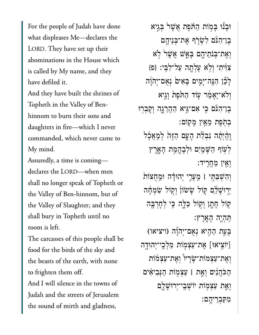For the people of Judah have done what displeases Me—declares the LORD. They have set up their abominations in the House which is called by My name, and they have defiled it.

And they have built the shrines of Topheth in the Valley of Benhinnom to burn their sons and daughters in fire—which I never commanded, which never came to My mind.

Assuredly, a time is coming declares the LORD—when men shall no longer speak of Topheth or the Valley of Ben-hinnom, but of the Valley of Slaughter; and they shall bury in Topheth until no room is left.

The carcasses of this people shall be food for the birds of the sky and the beasts of the earth, with none to frighten them off. And I will silence in the towns of Judah and the streets of Jerusalem the sound of mirth and gladness,

ּוָב֞נּו ָּב֣מֹות ַהֹּ֗תֶפת ֲאֶׁש֙ר ְּבֵ֣גיא ֶבן־ִהֹּ֔נם ִלְׂשֹ֛רף ֶאת־ְּבֵניֶ֥הם וְאֶת־בְּנֹתֵיהֱם בַּאֲשׁ אֲשֶׁר לְא  ${z}$ צְוּוֹתִי וְלְא עֲלְתָה עַל־לְבֵי: {פ ַלְבֶן הִגֲה־יָמִים בָּאִים וָאִם־יְהֹוַה וְלֹא־יֵאֲמֶר עָוֹד הַתֹּפֵת וְגֵיא ָבֵן־הִּנֹּם כִּי אִם־גֵּיא הַהֲרֵגֶה וְקָבְרִוּ ּבְתְׂפֵת מֵאֵין מַקוֹם: וְהָ֫יִתְेה נִבְלַּת הָעֲם הַזֶּהֹ לְמַאֲבָל לְעָוֹף הַשָּׁמַיִם וּלְבֶהֱמֶת הָאֶרֶץ ְוֵ֖אין ַמֲחִֽריד׃ ְוִהְׁשַּבִּ֣תי **׀** ֵֽמָעֵ֣רי ְיהּוָ֗דה ּוֵֽמֻחצֹו֙ת יִרְוּשַׁלַּם קוֹל שַׂשׂוֹן וְקִוֹל שִׂמְחָה ַקוֹל חָתָן וְקִוֹל כַּלֵּ֑ה כֵּי לְחָרְבֵּה ִּֽתְהֶ֥יה ָהָֽאֶרץ׃ ָבְּעֵת הַהָיא נְאָם־יְהֹוָֹה (ויציאו) [יֹוֹצִיאוּ] אֶת־עַצִמְוֹת מַלְכֵי־יִהוּדֶה וְאֶת־עַצְמֹוֹת־שַׂרַיו<sup>ּ</sup> וְאֶת־עַצְמֹוֹת ַהֹּכֲהִ֜נים ְוֵ֣את **׀** ַעְצ֣מֹות ַהְּנִביִ֗אים וְאֵת עַצְמ*ׂוֹת יוֹשָׁבֵי־יִרוּשָׁלֶ*ם ִמִּקְבֵריֶֽהם׃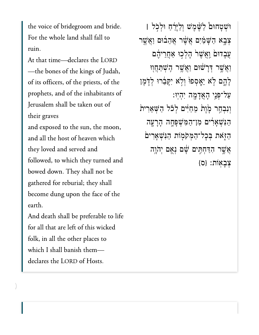the voice of bridegroom and bride. For the whole land shall fall to ruin.

At that time—declares the LORD —the bones of the kings of Judah, of its officers, of the priests, of the prophets, and of the inhabitants of Jerusalem shall be taken out of their graves

and exposed to the sun, the moon, and all the host of heaven which they loved and served and followed, to which they turned and bowed down. They shall not be gathered for reburial; they shall become dung upon the face of the earth.

And death shall be preferable to life for all that are left of this wicked folk, in all the other places to which I shall banish them declares the LORD of Hosts.

ּוְׁשָטחּו֩ם ַלֶּׁ֨שֶמׁש ְוַלָּיֵ֜רַח ּוְלֹ֣כל **׀** יָּבְא הַשָּׁמַ֫יִּם אֲשֶׁר אֲהֵבוּם וַאֲשֶׁר ְעֲבָדוּם וַאֲשֶׁר<sup>ו</sup> הָלְכְוּ אַחֲרֵיהֶם וַאֲשֶׁר דְּרָשׁׁוּם וַאֲשֶׁר הָשִׁתַּחֲוִוּ לְהֶם לָא יֵאֲסִפוּ וְלִא יִקָּבֵרוּ לְדָמֶן ַעל־ְּפֵ֥ני ָהֲאָדָ֖מה ִיְהֽיּו׃ וְנִבְחַר מָׂוֶת מֵחַ<sup>וָּ</sup>ים לְכֹל הַשָּׁאֵרִית ַהִּנְׁשָאִ֔רים ִמן־ַהִּמְׁשָּפָ֥חה ָהָרָ֖עה הַזְּאת בְּבָל־הַמְּקֹמְוֹת הַגִּשְׁאָרִים ָאֲשֶׁר הִדְּחָתִִּּים שָׁם וְאֶם יְהֹוֶה ַצְבַאוֹת: {ס